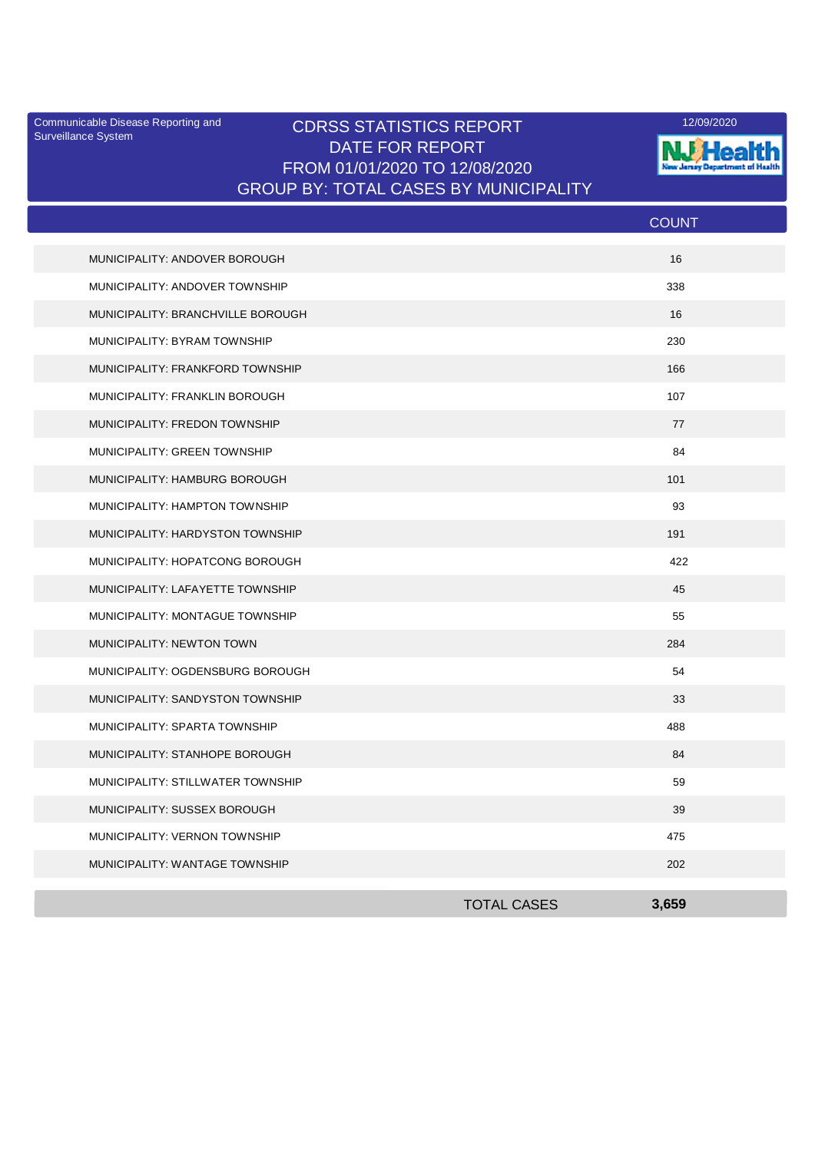Surveillance System

## Communicable Disease Reporting and **CDRSS STATISTICS REPORT** 12/09/2020<br>Surveillance Statem DATE FOR REPORT FROM 01/01/2020 TO 12/08/2020 GROUP BY: TOTAL CASES BY MUNICIPALITY



|                                   |                    | <b>COUNT</b> |  |
|-----------------------------------|--------------------|--------------|--|
| MUNICIPALITY: ANDOVER BOROUGH     |                    | 16           |  |
| MUNICIPALITY: ANDOVER TOWNSHIP    |                    | 338          |  |
| MUNICIPALITY: BRANCHVILLE BOROUGH |                    | 16           |  |
| MUNICIPALITY: BYRAM TOWNSHIP      |                    | 230          |  |
| MUNICIPALITY: FRANKFORD TOWNSHIP  |                    | 166          |  |
| MUNICIPALITY: FRANKLIN BOROUGH    |                    | 107          |  |
| MUNICIPALITY: FREDON TOWNSHIP     |                    | 77           |  |
| MUNICIPALITY: GREEN TOWNSHIP      |                    | 84           |  |
| MUNICIPALITY: HAMBURG BOROUGH     |                    | 101          |  |
| MUNICIPALITY: HAMPTON TOWNSHIP    |                    | 93           |  |
| MUNICIPALITY: HARDYSTON TOWNSHIP  |                    | 191          |  |
| MUNICIPALITY: HOPATCONG BOROUGH   |                    | 422          |  |
| MUNICIPALITY: LAFAYETTE TOWNSHIP  |                    | 45           |  |
| MUNICIPALITY: MONTAGUE TOWNSHIP   |                    | 55           |  |
| MUNICIPALITY: NEWTON TOWN         |                    | 284          |  |
| MUNICIPALITY: OGDENSBURG BOROUGH  |                    | 54           |  |
| MUNICIPALITY: SANDYSTON TOWNSHIP  |                    | 33           |  |
| MUNICIPALITY: SPARTA TOWNSHIP     |                    | 488          |  |
| MUNICIPALITY: STANHOPE BOROUGH    |                    | 84           |  |
| MUNICIPALITY: STILLWATER TOWNSHIP |                    | 59           |  |
| MUNICIPALITY: SUSSEX BOROUGH      |                    | 39           |  |
| MUNICIPALITY: VERNON TOWNSHIP     |                    | 475          |  |
| MUNICIPALITY: WANTAGE TOWNSHIP    |                    | 202          |  |
|                                   | <b>TOTAL CASES</b> | 3,659        |  |
|                                   |                    |              |  |